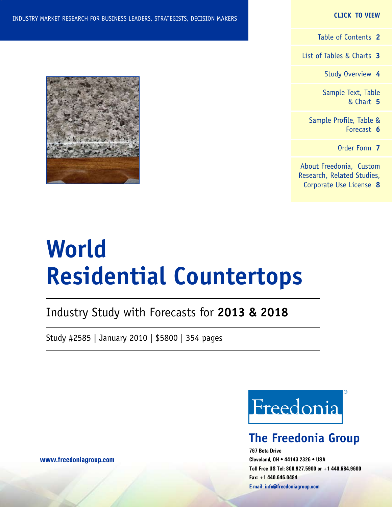#### **CLICK TO VIEW**

[Table of Contents](#page-1-0) **2**

[List of Tables & Charts](#page-2-0) **3**

[Study Overview](#page-3-0) **4**

[Sample Text, Table](#page-4-0) [& Chart](#page-4-0) **5**

[Sample Profile, Table &](#page-5-0) [Forecast](#page-5-0) **6**

[Order Form](#page-6-0) **7**

[About Freedonia, Custom](#page-7-0) [Research, Related Studies,](#page-7-0) [Corporate Use License](#page-7-0) **8**

# **World Residential Countertops**

### Industry Study with Forecasts for **2013 & 2018**

Study #2585 | January 2010 | \$5800 | 354 pages



### **The Freedonia Group**

**767 Beta Drive Cleveland, OH • 44143-2326 • USA Toll Free US Tel: 800.927.5900 or +1 440.684.9600 Fax: +1 440.646.0484 E-mail: [info@freedoniagroup.com](mailto:info@freedoniagroup.com)**



**[www.freedoniagroup.com](http://www.freedoniagroup.com/Home.aspx?ReferrerId=FM-Bro)**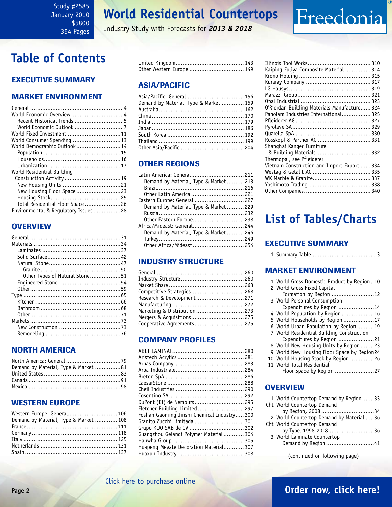Industry Study with Forecasts for *2013 & 2018*

### <span id="page-1-0"></span>**Table of Contents**

### Executive Summary

### Market EnvironmenT

| World Economic Overview  4          |  |
|-------------------------------------|--|
| Recent Historical Trends  5         |  |
|                                     |  |
| World Fixed Investment 11           |  |
| World Consumer Spending 13          |  |
| World Demographic Outlook 14        |  |
|                                     |  |
|                                     |  |
|                                     |  |
| World Residential Building          |  |
|                                     |  |
|                                     |  |
| New Housing Floor Space23           |  |
|                                     |  |
| Total Residential Floor Space26     |  |
| Environmental & Regulatory Issues28 |  |

### **OVERVIEW**

| Other Types of Natural Stone51 |  |
|--------------------------------|--|
|                                |  |
|                                |  |
|                                |  |
|                                |  |
|                                |  |
|                                |  |
|                                |  |
|                                |  |
|                                |  |
|                                |  |

### NORTH AMERICA

| Demand by Material, Type & Market 81 |  |
|--------------------------------------|--|
|                                      |  |
|                                      |  |
|                                      |  |

### WESTERN EUROPE

| Western Europe: General 106            |  |
|----------------------------------------|--|
| Demand by Material, Type & Market  108 |  |
|                                        |  |
|                                        |  |
|                                        |  |
|                                        |  |
|                                        |  |

| Other Western Europe  149 |  |
|---------------------------|--|

### ASIA/PACIFIC

| Asia/Pacific: General 156              |  |
|----------------------------------------|--|
| Demand by Material, Type & Market  159 |  |
|                                        |  |
|                                        |  |
|                                        |  |
|                                        |  |
|                                        |  |
|                                        |  |
|                                        |  |
|                                        |  |

### OTHER REGIONS

| Latin America: General 211            |  |
|---------------------------------------|--|
| Demand by Material, Type & Market 213 |  |
|                                       |  |
| Other Latin America  221              |  |
| Eastern Europe: General  227          |  |
| Demand by Material, Type & Market 229 |  |
|                                       |  |
| Other Eastern Europe 238              |  |
| Africa/Mideast: General 244           |  |
| Demand by Material, Type & Market 246 |  |
|                                       |  |
| Other Africa/Mideast 254              |  |

### INDUSTRY STRUCTURE

| Competitive Strategies 268    |  |
|-------------------------------|--|
| Research & Development 271    |  |
|                               |  |
| Marketing & Distribution  273 |  |
| Mergers & Acquisitions 275    |  |
| Cooperative Agreements 275    |  |
|                               |  |

### Company Profiles

| DuPont (EI) de Nemours 295                  |  |
|---------------------------------------------|--|
| Fletcher Building Limited  297              |  |
| Foshan Gaoming Jinshi Chemical Industry 300 |  |
| Granito Zucchi Limitada  301                |  |
| Grupo KUO SAB de CV  302                    |  |
| Guangzhou Gelandi Polymer Material 304      |  |
|                                             |  |
| Huapeng Meyate Decoration Material 307      |  |
|                                             |  |
|                                             |  |

| Kaiping Fuliya Composite Material  314       |  |
|----------------------------------------------|--|
|                                              |  |
|                                              |  |
|                                              |  |
|                                              |  |
|                                              |  |
| O'Riordan Building Materials Manufacture 324 |  |
| Panolam Industries International 325         |  |
|                                              |  |
|                                              |  |
|                                              |  |
| Rosskopf & Partner AG  331                   |  |
| Shanghai Kanger Furniture                    |  |
|                                              |  |
| Thermopal, see Pfleiderer                    |  |
| Vietnam Construction and Import-Export  334  |  |
|                                              |  |
|                                              |  |
|                                              |  |
|                                              |  |

Freedonia

### **List of Tables/Charts**

### Executive Summary

|--|--|--|--|

### Market EnvironmenT

| 1 World Gross Domestic Product by Region10   |
|----------------------------------------------|
| 2 World Gross Fixed Capital                  |
| Formation by Region 12                       |
| 3 World Personal Consumption                 |
| Expenditures by Region 14                    |
| 4 World Population by Region 16              |
| 5 World Households by Region 17              |
| 6 World Urban Population by Region19         |
| 7 World Residential Building Construction    |
| Expenditures by Region 21                    |
| 8 World New Housing Units by Region23        |
| 9 World New Housing Floor Space by Region 24 |
| 10 World Housing Stock by Region 26          |
| 11 World Total Residential                   |
| Floor Space by Region 27                     |

### **OVERVIEW**

| 1 World Countertop Demand by Region33    |
|------------------------------------------|
| Cht World Countertop Demand              |
| by Region, 2008 34                       |
| 2 World Countertop Demand by Material 36 |
| Cht World Countertop Demand              |
| by Type, 1998-2018 36                    |
| 3 World Laminate Countertop              |
| Demand by Region 41                      |
|                                          |

(continued on following page)

### [Click here to purchase online](http://www.freedoniagroup.com/DocumentDetails.aspx?Referrerid=FM-Bro&StudyID=2585)

### **Page 2 [Order now, click here!](#page-6-0)**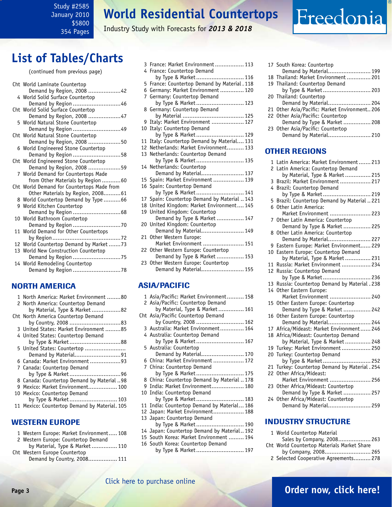#### <span id="page-2-0"></span>Study #2585 January 2010 \$5800 354 Pages

### **World Residential Countertops**

Industry Study with Forecasts for *2013 & 2018*

### **List of Tables/Charts**

#### (continued from previous page)

| Cht World Laminate Countertop              |
|--------------------------------------------|
| Demand by Region, 2008 42                  |
| 4 World Solid Surface Countertop           |
| Demand by Region 46                        |
| Cht World Solid Surface Countertop         |
| Demand by Region, 2008 47                  |
| 5 World Natural Stone Countertop           |
| Demand by Region 49                        |
| Cht World Natural Stone Countertop         |
| Demand by Region, 2008 50                  |
| 6 World Engineered Stone Countertop        |
| Demand by Region 58                        |
| Cht World Engineered Stone Countertop      |
| Demand by Region, 2008 59                  |
| 7 World Demand for Countertops Made        |
| from Other Materials by Region60           |
| Cht World Demand for Countertops Made from |
| Other Materials by Region, 200861          |
| 8 World Countertop Demand by Type 66       |
| 9 World Kitchen Countertop                 |
|                                            |
| 10 World Bathroom Countertop               |
|                                            |
| 11 World Demand for Other Countertops      |
|                                            |
| 12 World Countertop Demand by Market73     |
| 13 World New Construction Countertop       |
| Demand by Region 75                        |
| 14 World Remodeling Countertop             |
| Demand by Region 78                        |

### NORTH AMERICA

|   | 1 North America: Market Environment 80        |
|---|-----------------------------------------------|
|   | 2 North America: Countertop Demand            |
|   | by Material, Type & Market82                  |
|   | Cht North America Countertop Demand           |
|   |                                               |
|   | 3 United States: Market Environment 85        |
|   | 4 United States: Countertop Demand            |
|   | by Type & Market88                            |
|   | 5 United States: Countertop                   |
|   | Demand by Material91                          |
|   | 6 Canada: Market Environment 93               |
|   | 7 Canada: Countertop Demand                   |
|   |                                               |
|   | 8 Canada: Countertop Demand by Material 98    |
| q | Mexico: Market Environment 100                |
|   | 10 Mexico: Countertop Demand                  |
|   | by Type & Market 103                          |
|   | 11 Mexico: Countertop Demand by Material. 105 |
|   |                                               |

#### WESTERN EUROPE

| 1 Western Europe: Market Environment 108 |  |
|------------------------------------------|--|
| 2 Western Europe: Countertop Demand      |  |
| by Material, Type & Market 110           |  |

Cht Western Europe Countertop Demand by Country, 2008................. 111

|                | 3 France: Market Environment 113<br>4 France: Countertop Demand                     |
|----------------|-------------------------------------------------------------------------------------|
|                | by Type & Market 116                                                                |
|                | 5 France: Countertop Demand by Material. 118                                        |
|                | 6 Germany: Market Environment  120                                                  |
| $\overline{7}$ | Germany: Countertop Demand                                                          |
|                | by Type & Market 123                                                                |
|                | 8 Germany: Countertop Demand                                                        |
|                |                                                                                     |
|                | 9 Italy: Market Environment  127                                                    |
|                | 10 Italy: Countertop Demand                                                         |
|                | by Type & Market 129                                                                |
| 11             | Italy: Countertop Demand by Material 131                                            |
|                | 12 Netherlands: Market Environment 133                                              |
|                | 13 Netherlands: Countertop Demand                                                   |
|                | by Type & Market 135                                                                |
|                | 14 Netherlands: Countertop                                                          |
|                | Demand by Material 137                                                              |
|                | 15 Spain: Market Environment  139                                                   |
|                | 16 Spain: Countertop Demand                                                         |
|                | by Type & Market 141                                                                |
|                | 17 Spain: Countertop Demand by Material  143                                        |
|                | 18 United Kingdom: Market Environment 145                                           |
| 19             | United Kingdom: Countertop                                                          |
|                | Demand by Type & Market  147                                                        |
|                | 20 United Kingdom: Countertop<br>nced Kingdom. Countertop<br>Demand by Material 149 |
|                |                                                                                     |
| 21             | Other Western Europe:<br>Market Environment  151                                    |
|                |                                                                                     |
|                | 22 Other Western Europe: Countertop                                                 |
|                | Demand by Type & Market  153<br>23 Other Western Europe: Countertop                 |
|                | Demand by Material 155                                                              |
|                |                                                                                     |
|                |                                                                                     |
|                | <b>ASIA/PACIFIC</b>                                                                 |
|                |                                                                                     |

#### 1 Asia/Pacific: Market Environment.......... 158 2 Asia/Pacific: Countertop Demand by Material, Type & Market............... 161 Cht Asia/Pacific Countertop Demand by Country, 2008 ............................ 162 3 Australia: Market Environment.............. 164 4 Australia: Countertop Demand by Type & Market............................ 167 5 Australia: Countertop Demand by Material......................... 170 6 China: Market Environment .................. 172 7 China: Countertop Demand by Type & Market............................ 175 8 China: Countertop Demand by Material .. 178 9 India: Market Environment................... 180 10 India: Countertop Demand by Type & Market............................ 183 11 India: Countertop Demand by Material... 186 12 Japan: Market Environment.................. 188 13 Japan: Countertop Demand by Type & Market............................ 190 14 Japan: Countertop Demand by Material.. 192 15 South Korea: Market Environment ......... 194 16 South Korea: Countertop Demand by Type & Market............................ 197

|    | 17 South Korea: Countertop                                 |
|----|------------------------------------------------------------|
|    | Demand by Material 199                                     |
| 18 | Thailand: Market Environment  201                          |
|    | 19 Thailand: Countertop Demand                             |
|    | by Type & Market 203                                       |
| 20 | Thailand: Countertop                                       |
|    |                                                            |
| 21 | Other Asia/Pacific: Market Environment 206                 |
| 22 | Other Asia/Pacific: Countertop                             |
|    | Demand by Type & Market  208                               |
|    | 23 Other Asia/Pacific: Countertop                          |
|    | Demand by Material 210                                     |
|    | <b>OTHER REGIONS</b>                                       |
|    |                                                            |
| 1  | Latin America: Market Environment 213                      |
|    | 2 Latin America: Countertop Demand                         |
|    | by Material, Type & Market  215                            |
| 3  | Brazil: Market Environment  217                            |
|    | 4 Brazil: Countertop Demand                                |
|    | by Type & Market 219                                       |
| 5  | Brazil: Countertop Demand by Material  221                 |
| 6  | Other Latin America:                                       |
|    | Market Environment  223                                    |
| 7  | Other Latin America: Countertop                            |
|    | Demand by Type & Market  225                               |
| 8  | Other Latin America: Countertop                            |
|    | Demand by Material 227                                     |
| 9  | Eastern Europe: Market Environment 229                     |
| 10 | Eastern Europe: Countertop Demand                          |
|    | by Material, Type & Market 231                             |
| 11 | Russia: Market Environment  234                            |
| 12 | Russia: Countertop Demand                                  |
|    | by Type & Market 236                                       |
| 13 | Russia: Countertop Demand by Material . 238                |
| 14 | Other Eastern Europe:                                      |
|    | Market Environment  240                                    |
| 15 | Other Eastern Europe: Countertop                           |
|    | Demand by Type & Market  242                               |
| 16 | Other Eastern Europe: Countertop<br>Demand by Material 244 |
| 17 | Africa/Mideast: Market Environment 246                     |
| 18 | Africa/Mideast: Countertop Demand                          |
|    | by Material, Type & Market  248                            |
| 19 | Turkey: Market Environment  250                            |
| 20 |                                                            |
|    | Turkey: Countertop Demand<br>by Type & Market 252          |
| 21 | Turkey: Countertop Demand by Material . 254                |
| 22 | Other Africa/Mideast:                                      |
|    | Market Environment  256                                    |
| 23 | Other Africa/Mideast: Countertop                           |
|    | Demand by Type & Market  257                               |
|    |                                                            |

Freedonia

24 Other Africa/Mideast: Countertop Demand by Material......................... 259

### INDUSTRY STRUCTURE

| 1 World Countertop Material                 |  |
|---------------------------------------------|--|
| Sales by Company, 2008 263                  |  |
| Cht World Countertop Materials Market Share |  |
| by Company, 2008 265                        |  |
| 2 Selected Cooperative Agreements 278       |  |
|                                             |  |

### [Click here to purchase online](http://www.freedoniagroup.com/DocumentDetails.aspx?Referrerid=FM-Bro&StudyID=2585)

### **Page 3 [Order now, click here!](#page-6-0)**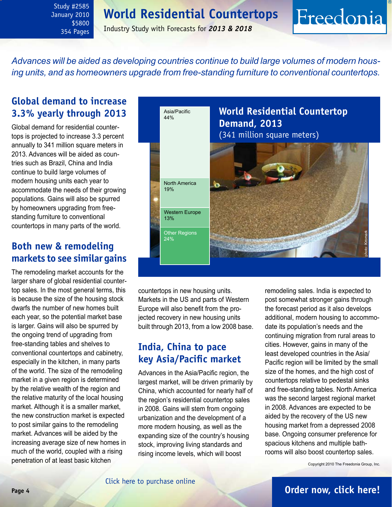<span id="page-3-0"></span>Study #2585 January 2010 \$5800 354 Pages

Industry Study with Forecasts for *2013 & 2018*

*Advances will be aided as developing countries continue to build large volumes of modern housing units, and as homeowners upgrade from free-standing furniture to conventional countertops.*

### **Global demand to increase 3.3% yearly through 2013**

Global demand for residential countertops is projected to increase 3.3 percent annually to 341 million square meters in 2013. Advances will be aided as countries such as Brazil, China and India continue to build large volumes of modern housing units each year to accommodate the needs of their growing populations. Gains will also be spurred by homeowners upgrading from freestanding furniture to conventional countertops in many parts of the world.

### **Both new & remodeling markets to see similar gains**

The remodeling market accounts for the larger share of global residential countertop sales. In the most general terms, this is because the size of the housing stock dwarfs the number of new homes built each year, so the potential market base is larger. Gains will also be spurred by the ongoing trend of upgrading from free-standing tables and shelves to conventional countertops and cabinetry, especially in the kitchen, in many parts of the world. The size of the remodeling market in a given region is determined by the relative wealth of the region and the relative maturity of the local housing market. Although it is a smaller market, the new construction market is expected to post similar gains to the remodeling market. Advances will be aided by the increasing average size of new homes in much of the world, coupled with a rising penetration of at least basic kitchen



countertops in new housing units. Markets in the US and parts of Western Europe will also benefit from the projected recovery in new housing units built through 2013, from a low 2008 base.

### **India, China to pace key Asia/Pacific market**

Advances in the Asia/Pacific region, the largest market, will be driven primarily by China, which accounted for nearly half of the region's residential countertop sales in 2008. Gains will stem from ongoing urbanization and the development of a more modern housing, as well as the expanding size of the country's housing stock, improving living standards and rising income levels, which will boost

remodeling sales. India is expected to post somewhat stronger gains through the forecast period as it also develops additional, modern housing to accommodate its population's needs and the continuing migration from rural areas to cities. However, gains in many of the least developed countries in the Asia/ Pacific region will be limited by the small size of the homes, and the high cost of countertops relative to pedestal sinks and free-standing tables. North America was the second largest regional market in 2008. Advances are expected to be aided by the recovery of the US new housing market from a depressed 2008 base. Ongoing consumer preference for spacious kitchens and multiple bathrooms will also boost countertop sales.

Freedonia

Copyright 2010 The Freedonia Group, Inc.

### **Page 4 [Order now, click here!](#page-6-0)**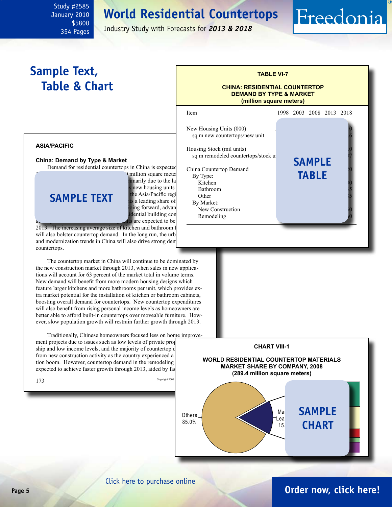<span id="page-4-0"></span>January 2010 \$5800 354 Pages

Study #2585

Industry Study with Forecasts for *2013 & 2018*

### **Sample Text, Table & Chart**

## **TABLE VI-7**

Freedonia

#### **CHINA: RESIDENTIAL COUNTERTOP DEMAND BY TYPE & MARKET (million square meters)**



#### **China: Demand by Type & Market**

Demand for residential countertops in China is expected

**SAMPLE TEXT** the Asia/Pacific region in  $\overrightarrow{Ot}$ 

**1.** million square meter imarily due to the la of the construction industries the Asia/Pacific regi the Chinese share of reading share of hing forward, advan dential building con are expected to be

 $2013$ . The increasing average size of kitchen and bathroom will also bolster countertop demand. In the long run, the urbanization and modernization trends in China will also drive strong den countertops.

The countertop market in China will continue to be dominated by the new construction market through 2013, when sales in new applications will account for 63 percent of the market total in volume terms. New demand will benefit from more modern housing designs which feature larger kitchens and more bathrooms per unit, which provides extra market potential for the installation of kitchen or bathroom cabinets, boosting overall demand for countertops. New countertop expenditures will also benefit from rising personal income levels as homeowners are better able to afford built-in countertops over moveable furniture. However, slow population growth will restrain further growth through 2013.

Traditionally, Chinese homeowners focused less on home improve-

ment projects due to issues such as low levels of private property ship and low income levels, and the majority of countertop d from new construction activity as the country experienced a tion boom. However, countertop demand in the remodeling expected to achieve faster growth through 2013, aided by factors and





#### [Click here to purchase online](http://www.freedoniagroup.com/DocumentDetails.aspx?Referrerid=FM-Bro&StudyID=2585)

### **Page 5 [Order now, click here!](#page-6-0)**

O th e rs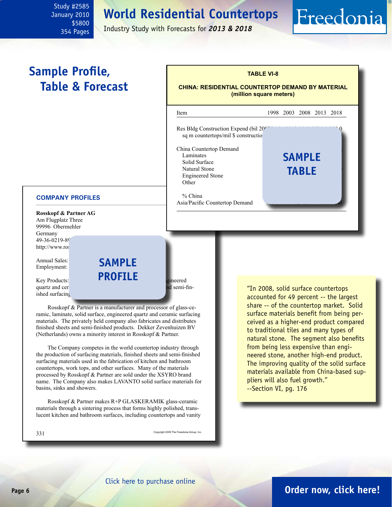<span id="page-5-0"></span>January 2010 \$5800 354 Pages

Study #2585

Industry Study with Forecasts for *2013 & 2018*

### **Sample Profile, Table & Forecast**



#### **COMPANY PROFILES**

**Rosskopf & Partner AG** Am Flugplatz Three 99996 Obermehler Germany 49-36-0219-89 http://www.ros

Annual Sales: **\$20 SAMP** Employment:

 $Key Products:$  **glass-ceramic surface, solid surface, engineered** quartz and ceramic surfacing materials, finished sheets and semi-finished sheets and semi-finished sheets and semi-finished sheets and semi-finished sheets and semi-finished sheets and semi-finished sheets and semi-finish ished surfacing

Rosskopf & Partner is a manufacturer and processor of glass-ceramic, laminate, solid surface, engineered quartz and ceramic surfacing materials. The privately held company also fabricates and distributes finished sheets and semi-finished products. Dekker Zevenhuizen BV (Netherlands) owns a minority interest in Rosskopf & Partner.

**profile**

The Company competes in the world countertop industry through the production of surfacing materials, finished sheets and semi-finished surfacing materials used in the fabrication of kitchen and bathroom countertops, work tops, and other surfaces. Many of the materials processed by Rosskopf & Partner are sold under the XSYRO brand name. The Company also makes LAVANTO solid surface materials for basins, sinks and showers.

Rosskopf & Partner makes R+P GLASKERAMIK glass-ceramic materials through a sintering process that forms highly polished, translucent kitchen and bathroom surfaces, including countertops and vanity

331 Copyright 2009 The Freedonia Group, Inc.

"In 2008, solid surface countertops accounted for 49 percent -- the largest share -- of the countertop market. Solid surface materials benefit from being perceived as a higher-end product compared to traditional tiles and many types of natural stone. The segment also benefits from being less expensive than engineered stone, another high-end product. The improving quality of the solid surface materials available from China-based suppliers will also fuel growth." --Section VI, pg. 176

Freedonia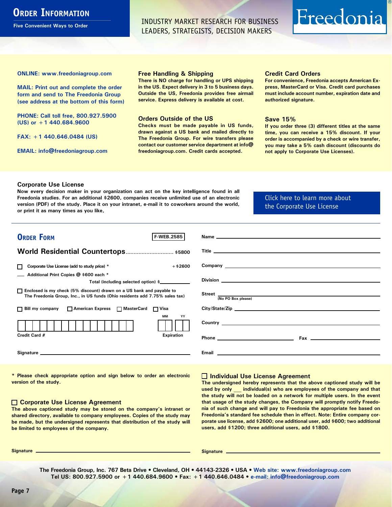### <span id="page-6-0"></span>**ORDER INFORMATION**

**Five Convenient Ways to Order**

INDUSTRY MARKET RESEARCH FOR BUSINESS LEADERS, STRATEGISTS, DECISION MAKERS

## Freedonia

**ONLINE: [www.freedoniagroup.com](http://www.freedoniagroup.com/DocumentDetails.aspx?Referrerid=FM-Bro&StudyID=2585)**

**MAIL: Print out and complete the order form and send to The Freedonia Group (see address at the bottom of this form)**

**PHONE: Call toll free, 800.927.5900 (US) or +1 440.684.9600**

**FAX: +1 440.646.0484 (US)**

**EMAIL: [info@freedoniagroup.com](mailto:info@freedoniagroup.com)**

#### **Free Handling & Shipping**

**There is NO charge for handling or UPS shipping in the US. Expect delivery in 3 to 5 business days. Outside the US, Freedonia provides free airmail service. Express delivery is available at cost.**

#### **Orders Outside of the US**

**Checks must be made payable in US funds, drawn against a US bank and mailed directly to The Freedonia Group. For wire transfers please contact our customer service department at info@ freedoniagroup.com. Credit cards accepted.**

#### **Credit Card Orders**

**For convenience, Freedonia accepts American Express, MasterCard or Visa. Credit card purchases must include account number, expiration date and authorized signature.**

#### **Save 15%**

**If you order three (3) different titles at the same time, you can receive a 15% discount. If your order is accompanied by a check or wire transfer, you may take a 5% cash discount (discounts do not apply to Corporate Use Licenses).**

#### **Corporate Use License**

**Now every decision maker in your organization can act on the key intelligence found in all Freedonia studies. For an additional \$2600, companies receive unlimited use of an electronic version (PDF) of the study. Place it on your intranet, e-mail it to coworkers around the world, or print it as many times as you like,** 

#### [Click here to learn more about](http://www.freedoniagroup.com/pdf/FreedoniaCULBro.pdf)  [the Corporate Use License](http://www.freedoniagroup.com/pdf/FreedoniaCULBro.pdf)

| <b>ORDER FORM</b><br><b>F-WEB.2585</b>                                                                                                                |                           |
|-------------------------------------------------------------------------------------------------------------------------------------------------------|---------------------------|
|                                                                                                                                                       |                           |
| World Residential Countertops \$5800                                                                                                                  |                           |
|                                                                                                                                                       |                           |
| $+$ \$2600<br>Corporate Use License (add to study price) *                                                                                            |                           |
| Additional Print Copies @ \$600 each *                                                                                                                |                           |
| Total (including selected option) \$                                                                                                                  |                           |
| □ Enclosed is my check (5% discount) drawn on a US bank and payable to<br>The Freedonia Group, Inc., in US funds (Ohio residents add 7.75% sales tax) | Street  No PO Box please) |
|                                                                                                                                                       |                           |
| □ Bill my company □ American Express □ MasterCard □ Visa                                                                                              |                           |
| MМ<br>YY                                                                                                                                              |                           |
|                                                                                                                                                       |                           |
| Credit Card #<br><b>Expiration</b>                                                                                                                    |                           |
|                                                                                                                                                       |                           |
|                                                                                                                                                       |                           |
|                                                                                                                                                       |                           |

**\* Please check appropriate option and sign below to order an electronic version of the study.**

#### **Corporate Use License Agreement**

**The above captioned study may be stored on the company's intranet or shared directory, available to company employees. Copies of the study may be made, but the undersigned represents that distribution of the study will be limited to employees of the company.**

#### **Individual Use License Agreement**

**The undersigned hereby represents that the above captioned study will be used by only \_\_\_ individual(s) who are employees of the company and that the study will not be loaded on a network for multiple users. In the event that usage of the study changes, the Company will promptly notify Freedonia of such change and will pay to Freedonia the appropriate fee based on Freedonia's standard fee schedule then in effect. Note: Entire company corporate use license, add \$2600; one additional user, add \$600; two additional users, add \$1200; three additional users, add \$1800.**

**Signature Signature**

**The Freedonia Group, Inc. 767 Beta Drive • Cleveland, OH • 44143-2326 • USA • [Web site: www.freedoniagroup.com](http://www.freedoniagroup.com/Home.aspx?ReferrerId=FM-Bro) Tel US: 800.927.5900 or +1 440.684.9600 • Fax: +1 440.646.0484 • [e-mail: info@freedoniagroup.com](mailto:info@freedoniagroup.com)**